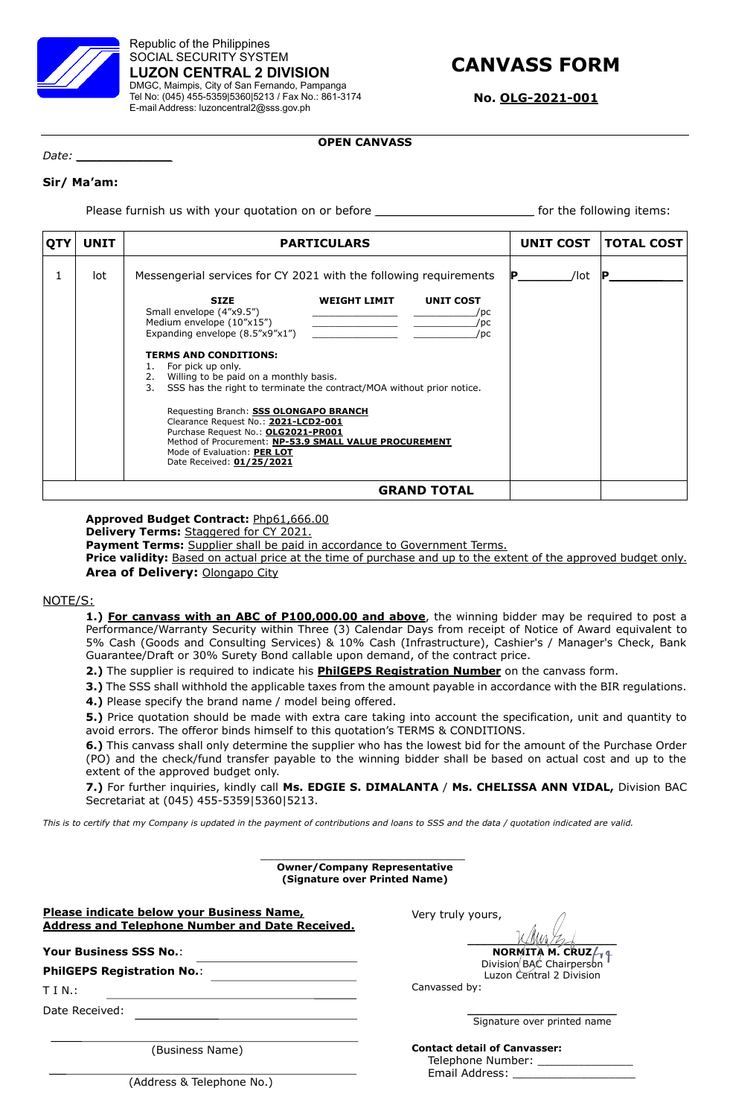

Republic of the Philippines SOCIAL SECURITY SYSTEM **LUZON CENTRAL 2 DIVISION** DMGC, Maimpis, City of San Fernando, Pampanga Tel No: (045) 455-5359|5360|5213 / Fax No.: 861-3174 E-mail Address: luzoncentral2@sss.gov.ph

# **CANVASS FORM**

**No. OLG-2021-001**

# **OPEN CANVASS**

*Date: \_\_\_\_\_\_\_\_\_\_\_\_\_\_*

# **Sir/ Ma'am:**

Please furnish us with your quotation on or before *\_\_\_\_\_\_\_\_\_\_\_\_\_\_\_\_\_\_\_\_\_\_\_\_\_\_\_\_\_\_* for the following items:

| <b>QTY</b> | <b>UNIT</b> | <b>PARTICULARS</b>                                                                                                                                                                                                                                                                                                                                                                                                                                                                                                                                                                                                                                                                                                             | UNIT COST | <b>TOTAL COST</b> |
|------------|-------------|--------------------------------------------------------------------------------------------------------------------------------------------------------------------------------------------------------------------------------------------------------------------------------------------------------------------------------------------------------------------------------------------------------------------------------------------------------------------------------------------------------------------------------------------------------------------------------------------------------------------------------------------------------------------------------------------------------------------------------|-----------|-------------------|
|            | lot         | Messengerial services for CY 2021 with the following requirements<br><b>UNIT COST</b><br><b>SIZE</b><br><b>WEIGHT LIMIT</b><br>Small envelope (4"x9.5")<br>/pc<br>Medium envelope (10"x15")<br>/pc<br>Expanding envelope $(8.5"x9"x1")$<br>the control of the control of the control of<br>/pc<br><b>TERMS AND CONDITIONS:</b><br>For pick up only.<br>2. Willing to be paid on a monthly basis.<br>3.<br>SSS has the right to terminate the contract/MOA without prior notice.<br>Requesting Branch: SSS OLONGAPO BRANCH<br>Clearance Request No.: 2021-LCD2-001<br>Purchase Request No.: OLG2021-PR001<br>Method of Procurement: NP-53.9 SMALL VALUE PROCUREMENT<br>Mode of Evaluation: PER LOT<br>Date Received: 01/25/2021 | /lot      |                   |
|            |             | <b>GRAND TOTAL</b>                                                                                                                                                                                                                                                                                                                                                                                                                                                                                                                                                                                                                                                                                                             |           |                   |

**Approved Budget Contract:** Php61,666.00

**Delivery Terms:** Staggered for CY 2021.

Payment Terms: Supplier shall be paid in accordance to Government Terms.

**Price validity:** Based on actual price at the time of purchase and up to the extent of the approved budget only. **Area of Delivery:** Olongapo City

## NOTE/S:

**1.) For canvass with an ABC of P100,000.00 and above**, the winning bidder may be required to post a Performance/Warranty Security within Three (3) Calendar Days from receipt of Notice of Award equivalent to 5% Cash (Goods and Consulting Services) & 10% Cash (Infrastructure), Cashier's / Manager's Check, Bank Guarantee/Draft or 30% Surety Bond callable upon demand, of the contract price.

**2.)** The supplier is required to indicate his **PhilGEPS Registration Number** on the canvass form.

**3.)** The SSS shall withhold the applicable taxes from the amount payable in accordance with the BIR regulations. **4.)** Please specify the brand name / model being offered.

**5.)** Price quotation should be made with extra care taking into account the specification, unit and quantity to avoid errors. The offeror binds himself to this quotation's TERMS & CONDITIONS.

**6.)** This canvass shall only determine the supplier who has the lowest bid for the amount of the Purchase Order (PO) and the check/fund transfer payable to the winning bidder shall be based on actual cost and up to the extent of the approved budget only.

**7.)** For further inquiries, kindly call **Ms. EDGIE S. DIMALANTA** / **Ms. CHELISSA ANN VIDAL,** Division BAC Secretariat at (045) 455-5359|5360|5213.

*This is to certify that my Company is updated in the payment of contributions and loans to SSS and the data / quotation indicated are valid.*

\_\_\_\_\_\_\_\_\_\_\_\_\_\_\_\_\_\_\_\_\_\_\_\_\_\_\_\_\_\_

| <b>Owner/Company Representative</b><br>(Signature over Printed Name)                                       |                                                                                 |  |  |  |
|------------------------------------------------------------------------------------------------------------|---------------------------------------------------------------------------------|--|--|--|
| <b>Please indicate below your Business Name,</b><br><b>Address and Telephone Number and Date Received.</b> | Very truly yours,                                                               |  |  |  |
| Your Business SSS No.:                                                                                     | <b>NORMITA M. CRUZ</b> $/$                                                      |  |  |  |
| <b>PhilGEPS Registration No.:</b>                                                                          | Division BAC Chairperson<br>Luzon Central 2 Division                            |  |  |  |
| T I N.:                                                                                                    | Canvassed by:                                                                   |  |  |  |
| Date Received:                                                                                             |                                                                                 |  |  |  |
|                                                                                                            | Signature over printed name                                                     |  |  |  |
| (Business Name)                                                                                            | <b>Contact detail of Canvasser:</b><br>Telephone Number: ____<br>Email Address: |  |  |  |
|                                                                                                            |                                                                                 |  |  |  |

(Address & Telephone No.)